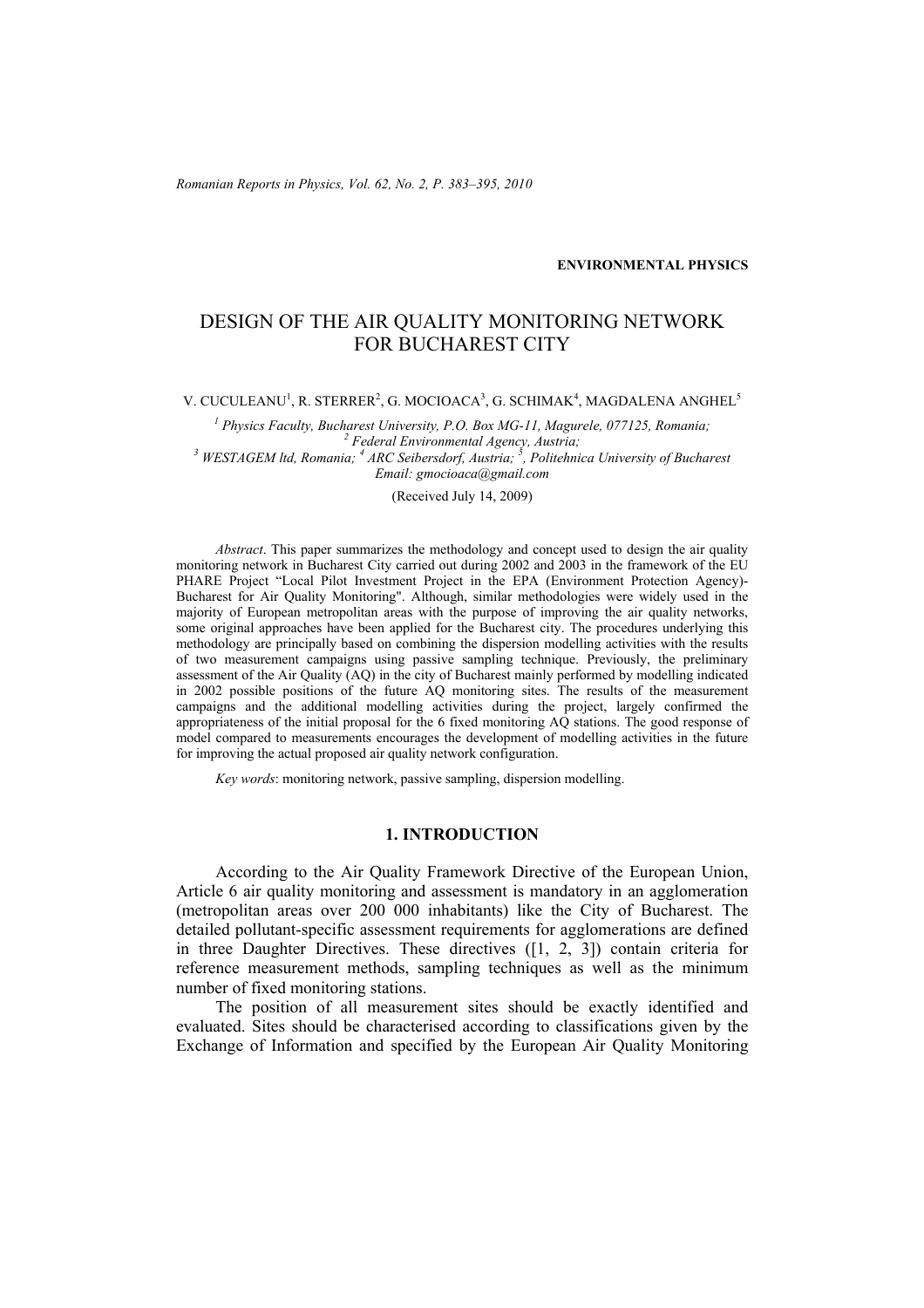*Romanian Reports in Physics, Vol. 62, No. 2, P. 383–395, 2010*

**ENVIRONMENTAL PHYSICS**

# DESIGN OF THE AIR QUALITY MONITORING NETWORK FOR BUCHAREST CITY

V. CUCULEANU<sup>1</sup>, R. STERRER<sup>2</sup>, G. MOCIOACA<sup>3</sup>, G. SCHIMAK<sup>4</sup>, MAGDALENA ANGHEL<sup>5</sup>

<sup>1</sup> Physics Faculty, Bucharest University, P.O. Box MG-11, Magurele, 077125, Romania; <sup>2</sup> Eodevel Emvironmental Agency, Austria; <sup>2</sup> Federal Environmental Agency, Austria;<br><sup>3</sup> WESTAGEM ltd, Romania; <sup>4</sup> ARC Seibersdorf, Austria; <sup>5</sup>, Politehnica University of Bucharest *Email: gmocioaca@gmail.com* 

(Received July 14, 2009)

*Abstract*. This paper summarizes the methodology and concept used to design the air quality monitoring network in Bucharest City carried out during 2002 and 2003 in the framework of the EU PHARE Project "Local Pilot Investment Project in the EPA (Environment Protection Agency)- Bucharest for Air Quality Monitoring". Although, similar methodologies were widely used in the majority of European metropolitan areas with the purpose of improving the air quality networks, some original approaches have been applied for the Bucharest city. The procedures underlying this methodology are principally based on combining the dispersion modelling activities with the results of two measurement campaigns using passive sampling technique. Previously, the preliminary assessment of the Air Quality (AQ) in the city of Bucharest mainly performed by modelling indicated in 2002 possible positions of the future AQ monitoring sites. The results of the measurement campaigns and the additional modelling activities during the project, largely confirmed the appropriateness of the initial proposal for the 6 fixed monitoring AQ stations. The good response of model compared to measurements encourages the development of modelling activities in the future for improving the actual proposed air quality network configuration.

*Key words*: monitoring network, passive sampling, dispersion modelling.

#### **1. INTRODUCTION**

According to the Air Quality Framework Directive of the European Union, Article 6 air quality monitoring and assessment is mandatory in an agglomeration (metropolitan areas over 200 000 inhabitants) like the City of Bucharest. The detailed pollutant-specific assessment requirements for agglomerations are defined in three Daughter Directives. These directives ([1, 2, 3]) contain criteria for reference measurement methods, sampling techniques as well as the minimum number of fixed monitoring stations.

The position of all measurement sites should be exactly identified and evaluated. Sites should be characterised according to classifications given by the Exchange of Information and specified by the European Air Quality Monitoring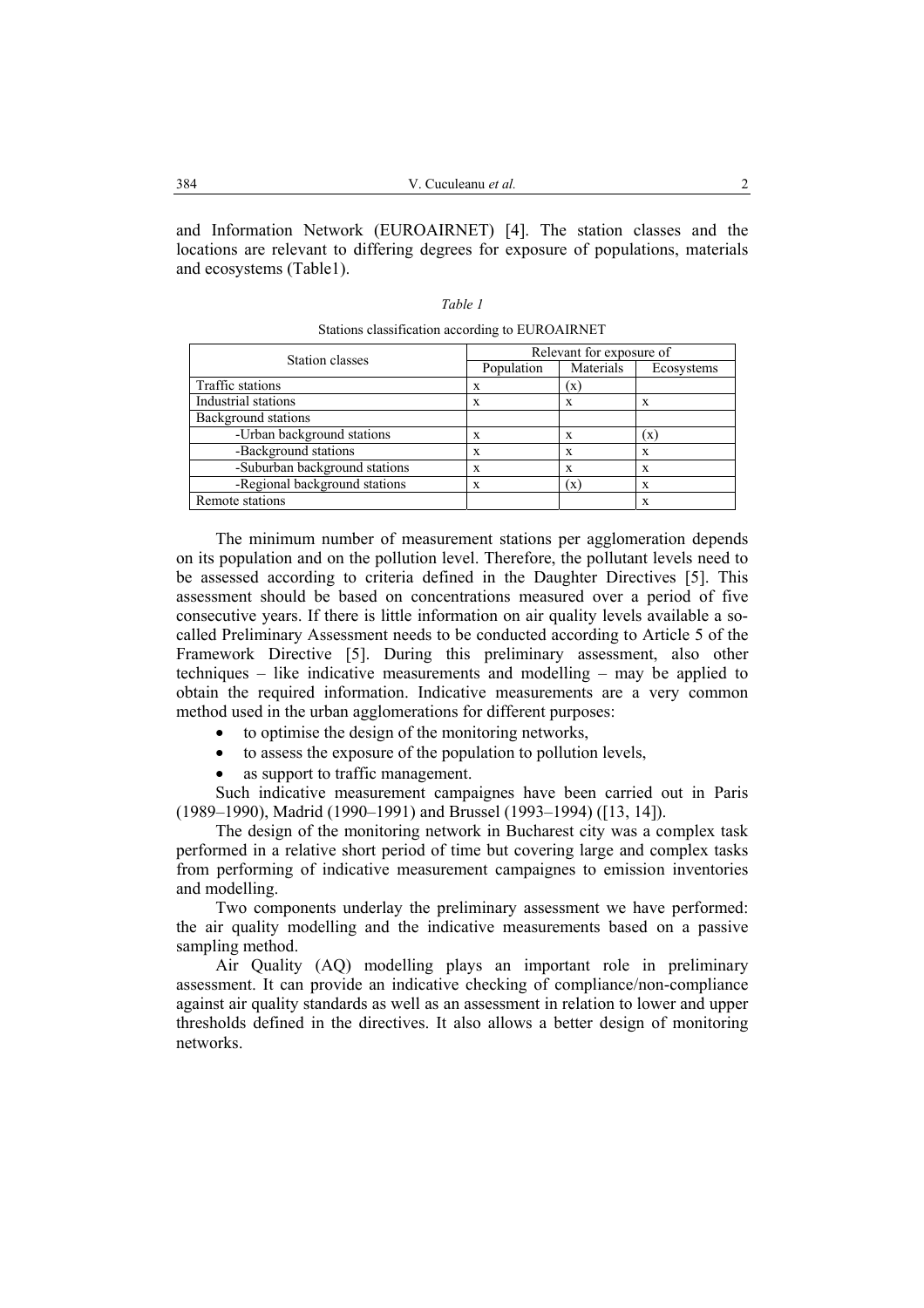and Information Network (EUROAIRNET) [4]. The station classes and the locations are relevant to differing degrees for exposure of populations, materials and ecosystems (Table1).

| Station classes               | Relevant for exposure of |                |            |  |  |
|-------------------------------|--------------------------|----------------|------------|--|--|
|                               | Population               | Materials      | Ecosystems |  |  |
| Traffic stations              | X                        | $(\mathbf{x})$ |            |  |  |
| Industrial stations           | X                        | X              | X          |  |  |
| Background stations           |                          |                |            |  |  |
| -Urban background stations    | X                        | X              | (x         |  |  |
| -Background stations          | X                        | X              | X          |  |  |
| -Suburban background stations | X                        | X              | X          |  |  |
| -Regional background stations | X                        | (x)            | X          |  |  |
| Remote stations               |                          |                | X          |  |  |

Stations classification according to EUROAIRNET

The minimum number of measurement stations per agglomeration depends on its population and on the pollution level. Therefore, the pollutant levels need to be assessed according to criteria defined in the Daughter Directives [5]. This assessment should be based on concentrations measured over a period of five consecutive years. If there is little information on air quality levels available a socalled Preliminary Assessment needs to be conducted according to Article 5 of the Framework Directive [5]. During this preliminary assessment, also other techniques – like indicative measurements and modelling – may be applied to obtain the required information. Indicative measurements are a very common method used in the urban agglomerations for different purposes:

- to optimise the design of the monitoring networks,
- to assess the exposure of the population to pollution levels,
- as support to traffic management.

Such indicative measurement campaignes have been carried out in Paris (1989–1990), Madrid (1990–1991) and Brussel (1993–1994) ([13, 14]).

The design of the monitoring network in Bucharest city was a complex task performed in a relative short period of time but covering large and complex tasks from performing of indicative measurement campaignes to emission inventories and modelling.

Two components underlay the preliminary assessment we have performed: the air quality modelling and the indicative measurements based on a passive sampling method.

Air Quality (AQ) modelling plays an important role in preliminary assessment. It can provide an indicative checking of compliance/non-compliance against air quality standards as well as an assessment in relation to lower and upper thresholds defined in the directives. It also allows a better design of monitoring networks.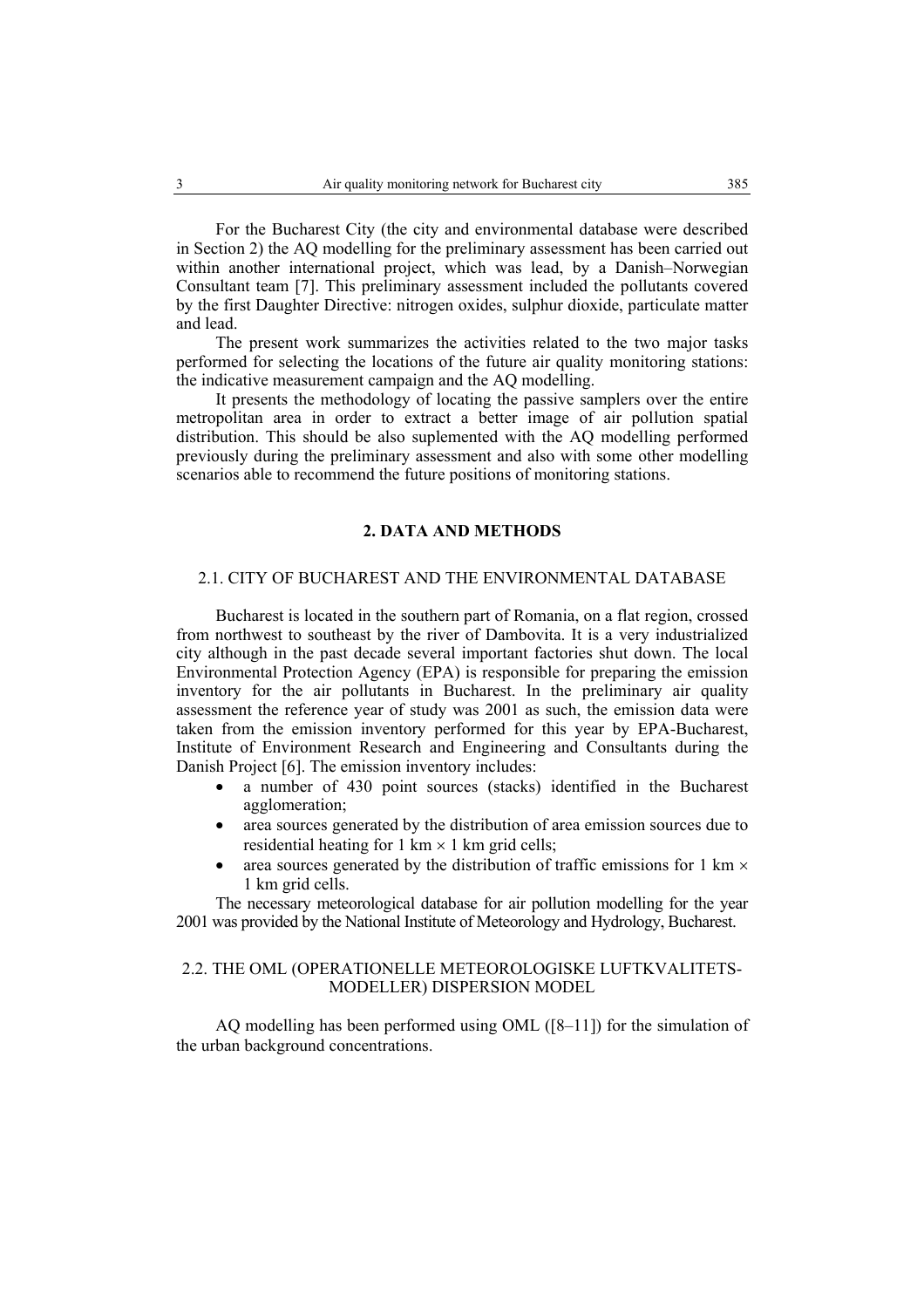For the Bucharest City (the city and environmental database were described in Section 2) the AQ modelling for the preliminary assessment has been carried out within another international project, which was lead, by a Danish–Norwegian Consultant team [7]. This preliminary assessment included the pollutants covered by the first Daughter Directive: nitrogen oxides, sulphur dioxide, particulate matter and lead.

The present work summarizes the activities related to the two major tasks performed for selecting the locations of the future air quality monitoring stations: the indicative measurement campaign and the AQ modelling.

It presents the methodology of locating the passive samplers over the entire metropolitan area in order to extract a better image of air pollution spatial distribution. This should be also suplemented with the AQ modelling performed previously during the preliminary assessment and also with some other modelling scenarios able to recommend the future positions of monitoring stations.

#### **2. DATA AND METHODS**

## 2.1. CITY OF BUCHAREST AND THE ENVIRONMENTAL DATABASE

Bucharest is located in the southern part of Romania, on a flat region, crossed from northwest to southeast by the river of Dambovita. It is a very industrialized city although in the past decade several important factories shut down. The local Environmental Protection Agency (EPA) is responsible for preparing the emission inventory for the air pollutants in Bucharest. In the preliminary air quality assessment the reference year of study was 2001 as such, the emission data were taken from the emission inventory performed for this year by EPA-Bucharest, Institute of Environment Research and Engineering and Consultants during the Danish Project [6]. The emission inventory includes:

- a number of 430 point sources (stacks) identified in the Bucharest agglomeration;
- area sources generated by the distribution of area emission sources due to residential heating for  $1 \text{ km} \times 1 \text{ km}$  grid cells;
- area sources generated by the distribution of traffic emissions for  $1 \text{ km} \times$ 1 km grid cells.

The necessary meteorological database for air pollution modelling for the year 2001 was provided by the National Institute of Meteorology and Hydrology, Bucharest.

## 2.2. THE OML (OPERATIONELLE METEOROLOGISKE LUFTKVALITETS-MODELLER) DISPERSION MODEL

AQ modelling has been performed using OML ([8–11]) for the simulation of the urban background concentrations.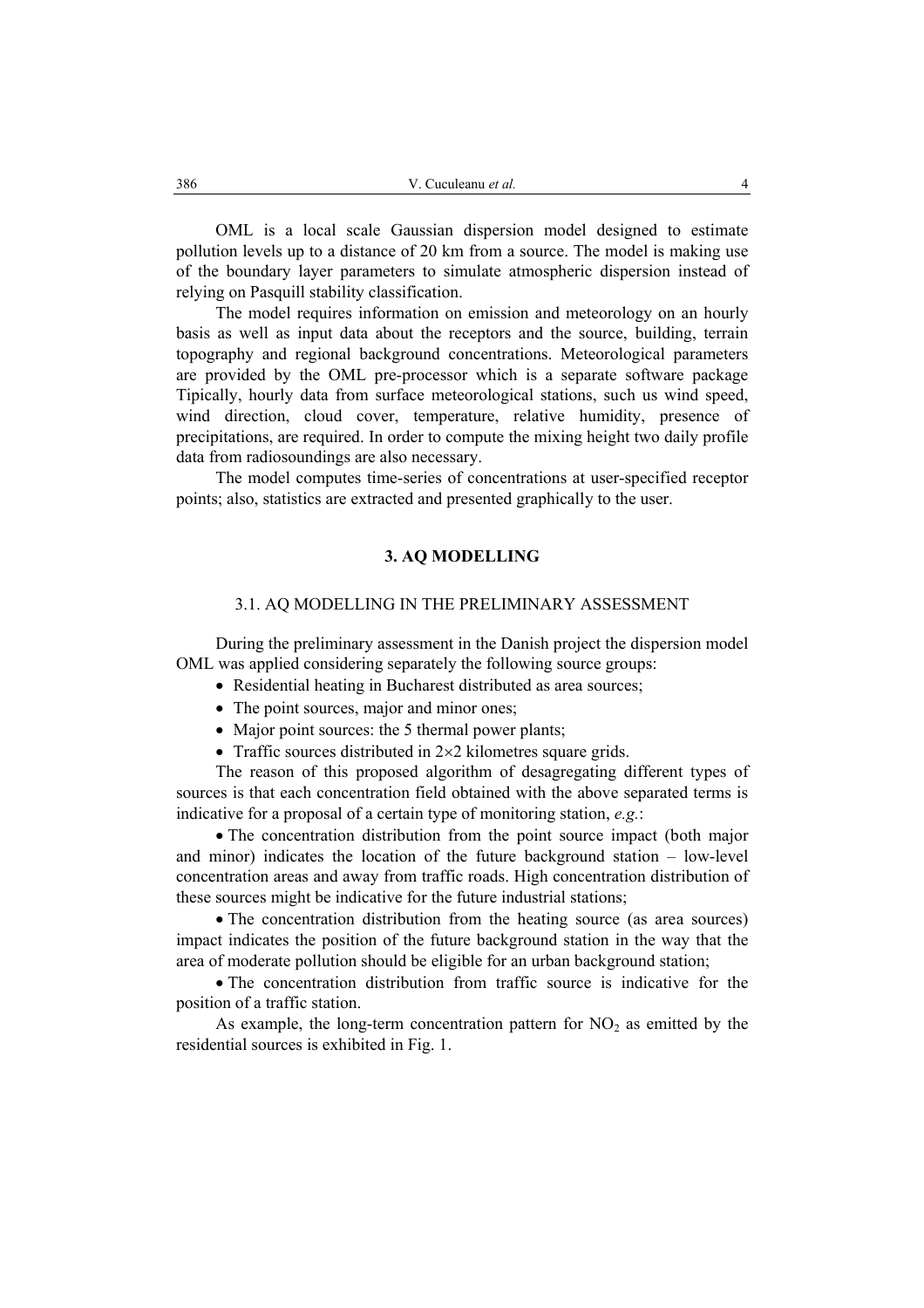OML is a local scale Gaussian dispersion model designed to estimate pollution levels up to a distance of 20 km from a source. The model is making use of the boundary layer parameters to simulate atmospheric dispersion instead of relying on Pasquill stability classification.

The model requires information on emission and meteorology on an hourly basis as well as input data about the receptors and the source, building, terrain topography and regional background concentrations. Meteorological parameters are provided by the OML pre-processor which is a separate software package Tipically, hourly data from surface meteorological stations, such us wind speed, wind direction, cloud cover, temperature, relative humidity, presence of precipitations, are required. In order to compute the mixing height two daily profile data from radiosoundings are also necessary.

The model computes time-series of concentrations at user-specified receptor points; also, statistics are extracted and presented graphically to the user.

#### **3. AQ MODELLING**

## 3.1. AQ MODELLING IN THE PRELIMINARY ASSESSMENT

During the preliminary assessment in the Danish project the dispersion model OML was applied considering separately the following source groups:

- Residential heating in Bucharest distributed as area sources;
- The point sources, major and minor ones:
- Major point sources: the 5 thermal power plants;
- Traffic sources distributed in 2×2 kilometres square grids.

The reason of this proposed algorithm of desagregating different types of sources is that each concentration field obtained with the above separated terms is indicative for a proposal of a certain type of monitoring station, *e.g.*:

• The concentration distribution from the point source impact (both major and minor) indicates the location of the future background station – low-level concentration areas and away from traffic roads. High concentration distribution of these sources might be indicative for the future industrial stations;

• The concentration distribution from the heating source (as area sources) impact indicates the position of the future background station in the way that the area of moderate pollution should be eligible for an urban background station;

• The concentration distribution from traffic source is indicative for the position of a traffic station.

As example, the long-term concentration pattern for  $NO<sub>2</sub>$  as emitted by the residential sources is exhibited in Fig. 1.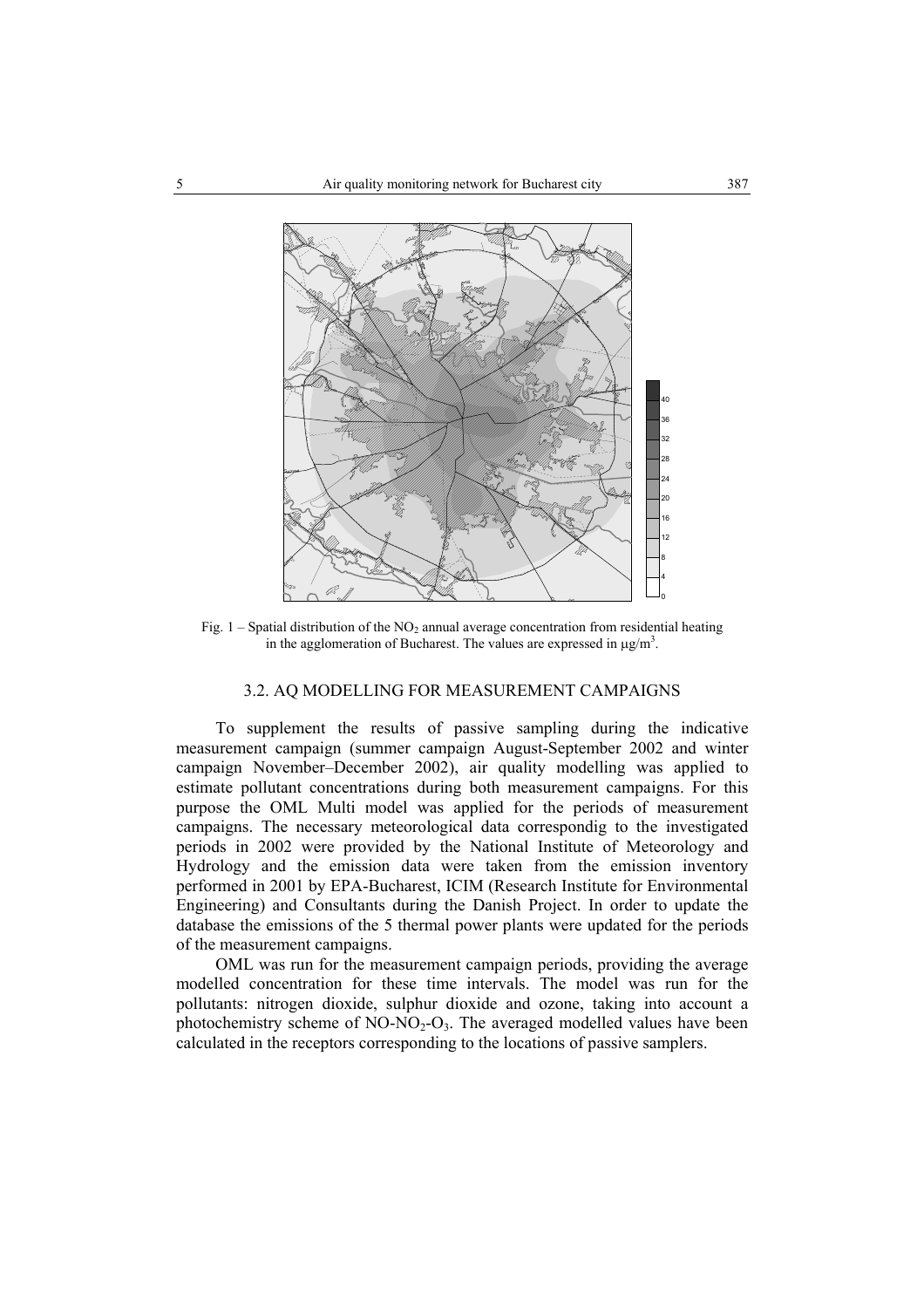

Fig. 1 – Spatial distribution of the  $NO<sub>2</sub>$  annual average concentration from residential heating in the agglomeration of Bucharest. The values are expressed in  $\mu$ g/m<sup>3</sup>.

## 3.2. AQ MODELLING FOR MEASUREMENT CAMPAIGNS

To supplement the results of passive sampling during the indicative measurement campaign (summer campaign August-September 2002 and winter campaign November–December 2002), air quality modelling was applied to estimate pollutant concentrations during both measurement campaigns. For this purpose the OML Multi model was applied for the periods of measurement campaigns. The necessary meteorological data correspondig to the investigated periods in 2002 were provided by the National Institute of Meteorology and Hydrology and the emission data were taken from the emission inventory performed in 2001 by EPA-Bucharest, ICIM (Research Institute for Environmental Engineering) and Consultants during the Danish Project. In order to update the database the emissions of the 5 thermal power plants were updated for the periods of the measurement campaigns.

OML was run for the measurement campaign periods, providing the average modelled concentration for these time intervals. The model was run for the pollutants: nitrogen dioxide, sulphur dioxide and ozone, taking into account a photochemistry scheme of  $NO-NO<sub>2</sub>-O<sub>3</sub>$ . The averaged modelled values have been calculated in the receptors corresponding to the locations of passive samplers.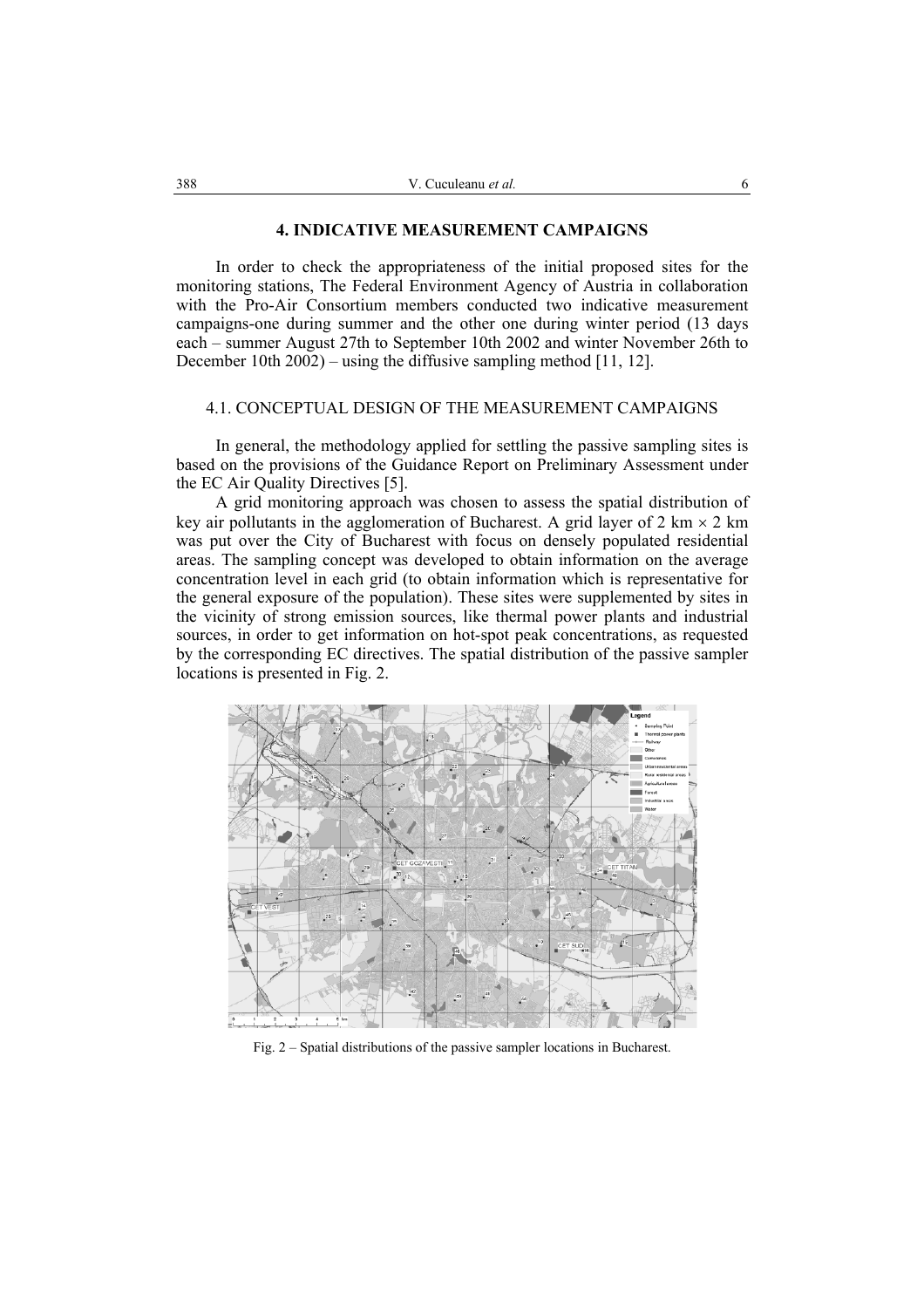#### **4. INDICATIVE MEASUREMENT CAMPAIGNS**

In order to check the appropriateness of the initial proposed sites for the monitoring stations, The Federal Environment Agency of Austria in collaboration with the Pro-Air Consortium members conducted two indicative measurement campaigns-one during summer and the other one during winter period (13 days each – summer August 27th to September 10th 2002 and winter November 26th to December 10th 2002) – using the diffusive sampling method [11, 12].

## 4.1. CONCEPTUAL DESIGN OF THE MEASUREMENT CAMPAIGNS

In general, the methodology applied for settling the passive sampling sites is based on the provisions of the Guidance Report on Preliminary Assessment under the EC Air Quality Directives [5].

A grid monitoring approach was chosen to assess the spatial distribution of key air pollutants in the agglomeration of Bucharest. A grid layer of 2 km  $\times$  2 km was put over the City of Bucharest with focus on densely populated residential areas. The sampling concept was developed to obtain information on the average concentration level in each grid (to obtain information which is representative for the general exposure of the population). These sites were supplemented by sites in the vicinity of strong emission sources, like thermal power plants and industrial sources, in order to get information on hot-spot peak concentrations, as requested by the corresponding EC directives. The spatial distribution of the passive sampler locations is presented in Fig. 2.



Fig. 2 – Spatial distributions of the passive sampler locations in Bucharest.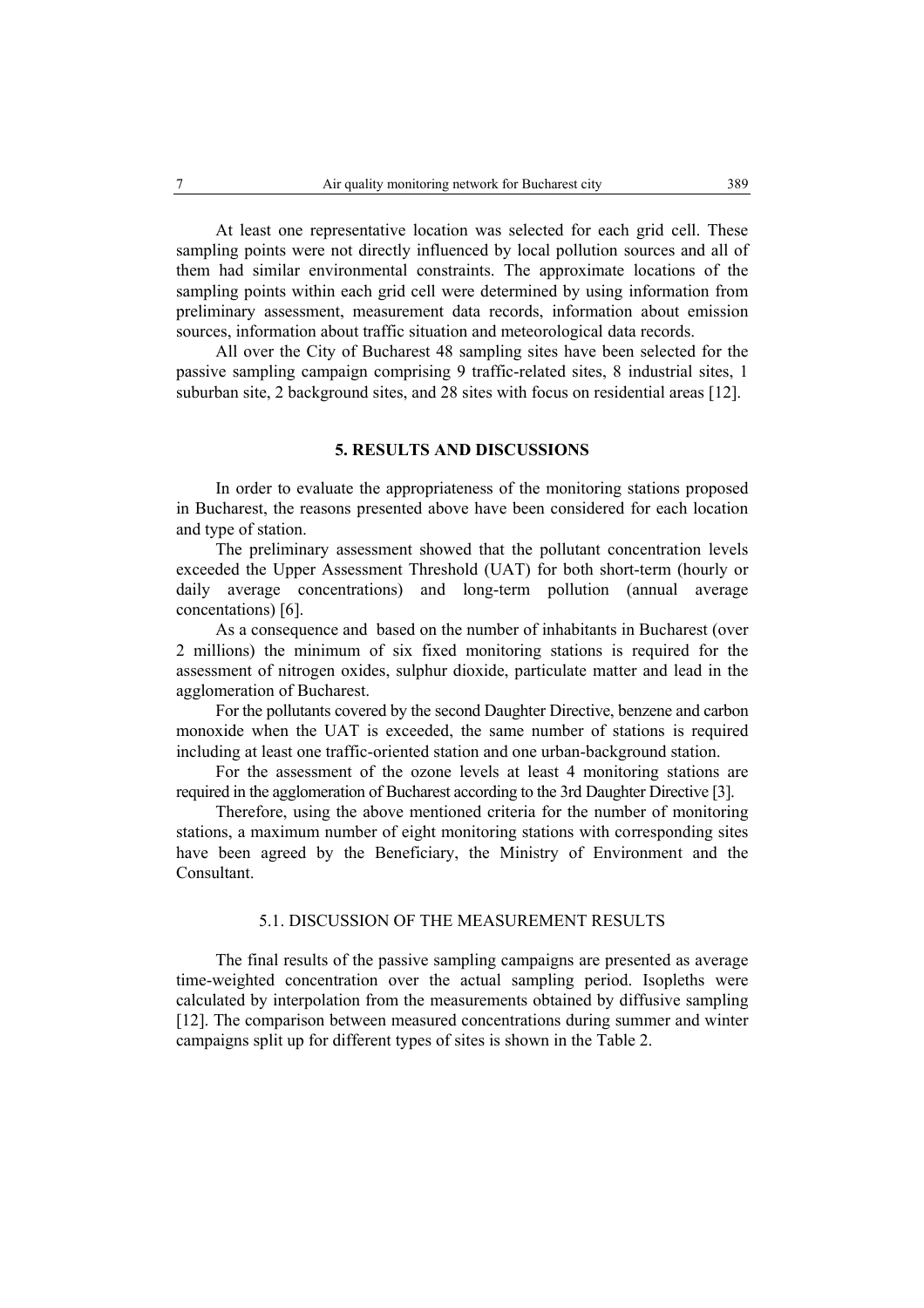At least one representative location was selected for each grid cell. These sampling points were not directly influenced by local pollution sources and all of them had similar environmental constraints. The approximate locations of the sampling points within each grid cell were determined by using information from preliminary assessment, measurement data records, information about emission sources, information about traffic situation and meteorological data records.

All over the City of Bucharest 48 sampling sites have been selected for the passive sampling campaign comprising 9 traffic-related sites, 8 industrial sites, 1 suburban site, 2 background sites, and 28 sites with focus on residential areas [12].

#### **5. RESULTS AND DISCUSSIONS**

In order to evaluate the appropriateness of the monitoring stations proposed in Bucharest, the reasons presented above have been considered for each location and type of station.

The preliminary assessment showed that the pollutant concentration levels exceeded the Upper Assessment Threshold (UAT) for both short-term (hourly or daily average concentrations) and long-term pollution (annual average concentations) [6].

As a consequence and based on the number of inhabitants in Bucharest (over 2 millions) the minimum of six fixed monitoring stations is required for the assessment of nitrogen oxides, sulphur dioxide, particulate matter and lead in the agglomeration of Bucharest.

For the pollutants covered by the second Daughter Directive, benzene and carbon monoxide when the UAT is exceeded, the same number of stations is required including at least one traffic-oriented station and one urban-background station.

For the assessment of the ozone levels at least 4 monitoring stations are required in the agglomeration of Bucharest according to the 3rd Daughter Directive [3].

Therefore, using the above mentioned criteria for the number of monitoring stations, a maximum number of eight monitoring stations with corresponding sites have been agreed by the Beneficiary, the Ministry of Environment and the Consultant.

#### 5.1. DISCUSSION OF THE MEASUREMENT RESULTS

The final results of the passive sampling campaigns are presented as average time-weighted concentration over the actual sampling period. Isopleths were calculated by interpolation from the measurements obtained by diffusive sampling [12]. The comparison between measured concentrations during summer and winter campaigns split up for different types of sites is shown in the Table 2.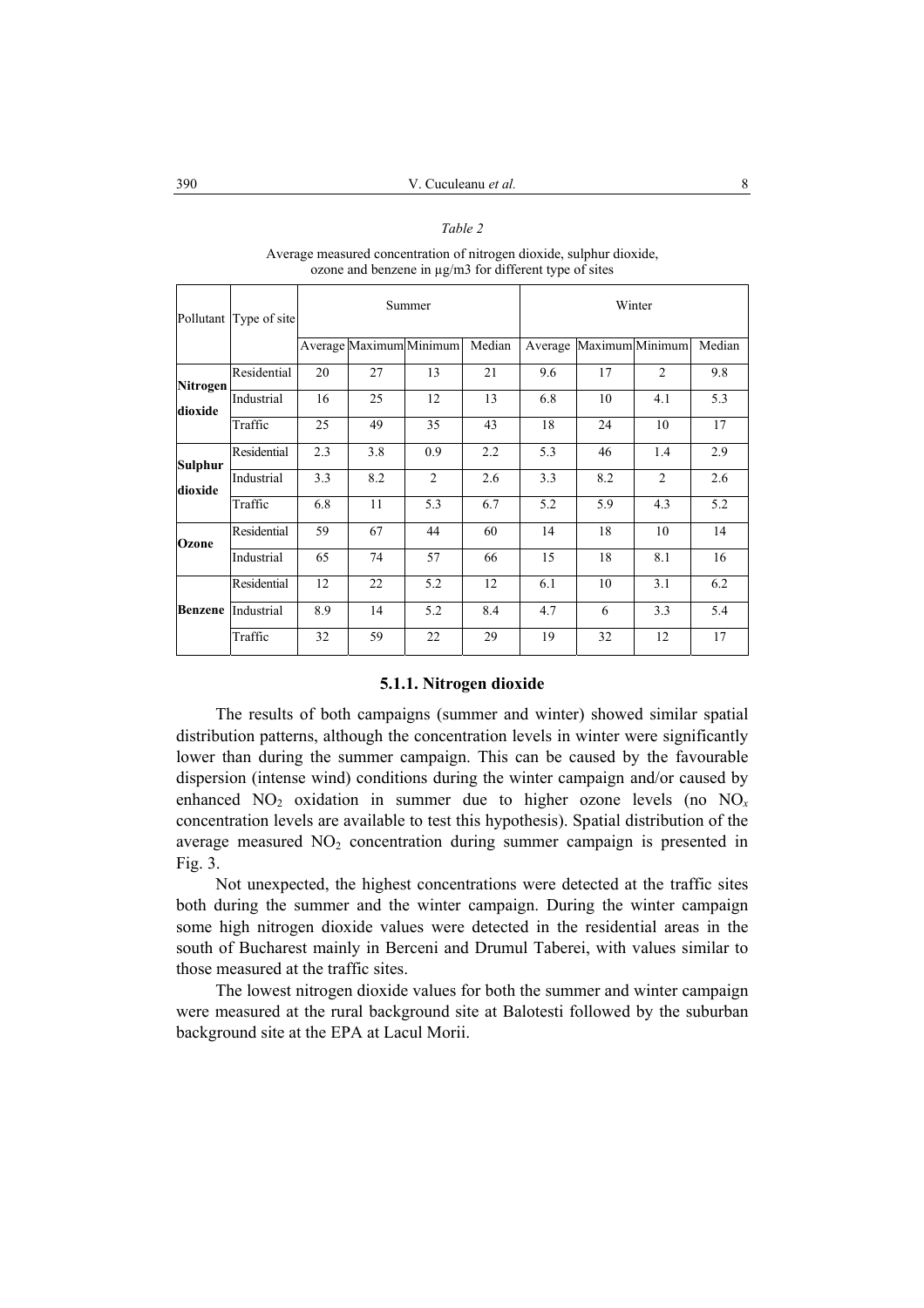#### *Table 2*

|                    |                        |        |     | ozone and benzene in $\mu$ g/m3 for different type of sites |        |         |     |                 |        |
|--------------------|------------------------|--------|-----|-------------------------------------------------------------|--------|---------|-----|-----------------|--------|
|                    | Pollutant Type of site | Summer |     |                                                             |        | Winter  |     |                 |        |
|                    |                        |        |     | Average Maximum Minimum                                     | Median | Average |     | Maximum Minimum | Median |
| <b>Nitrogen</b>    | Residential            | 20     | 27  | 13                                                          | 21     | 9.6     | 17  | 2               | 9.8    |
| dioxide            | Industrial             | 16     | 25  | 12                                                          | 13     | 6.8     | 10  | 4.1             | 5.3    |
|                    | Traffic                | 25     | 49  | 35                                                          | 43     | 18      | 24  | 10              | 17     |
| Sulphur<br>dioxide | Residential            | 2.3    | 3.8 | 0.9                                                         | 2.2    | 5.3     | 46  | 1.4             | 2.9    |
|                    | Industrial             | 3.3    | 8.2 | $\overline{c}$                                              | 2.6    | 3.3     | 8.2 | $\overline{2}$  | 2.6    |
|                    | Traffic                | 6.8    | 11  | 5.3                                                         | 6.7    | 5.2     | 5.9 | 4.3             | 5.2    |
| Ozone              | Residential            | 59     | 67  | 44                                                          | 60     | 14      | 18  | 10              | 14     |
|                    | Industrial             | 65     | 74  | 57                                                          | 66     | 15      | 18  | 8.1             | 16     |
| <b>Benzene</b>     | Residential            | 12     | 22  | 5.2                                                         | 12     | 6.1     | 10  | 3.1             | 6.2    |
|                    | Industrial             | 8.9    | 14  | 5.2                                                         | 8.4    | 4.7     | 6   | 3.3             | 5.4    |
|                    | Traffic                | 32     | 59  | 22                                                          | 29     | 19      | 32  | 12              | 17     |

Average measured concentration of nitrogen dioxide, sulphur dioxide,

#### **5.1.1. Nitrogen dioxide**

The results of both campaigns (summer and winter) showed similar spatial distribution patterns, although the concentration levels in winter were significantly lower than during the summer campaign. This can be caused by the favourable dispersion (intense wind) conditions during the winter campaign and/or caused by enhanced  $NO_2$  oxidation in summer due to higher ozone levels (no  $NO_x$ ) concentration levels are available to test this hypothesis). Spatial distribution of the average measured NO<sub>2</sub> concentration during summer campaign is presented in Fig. 3.

Not unexpected, the highest concentrations were detected at the traffic sites both during the summer and the winter campaign. During the winter campaign some high nitrogen dioxide values were detected in the residential areas in the south of Bucharest mainly in Berceni and Drumul Taberei, with values similar to those measured at the traffic sites.

The lowest nitrogen dioxide values for both the summer and winter campaign were measured at the rural background site at Balotesti followed by the suburban background site at the EPA at Lacul Morii.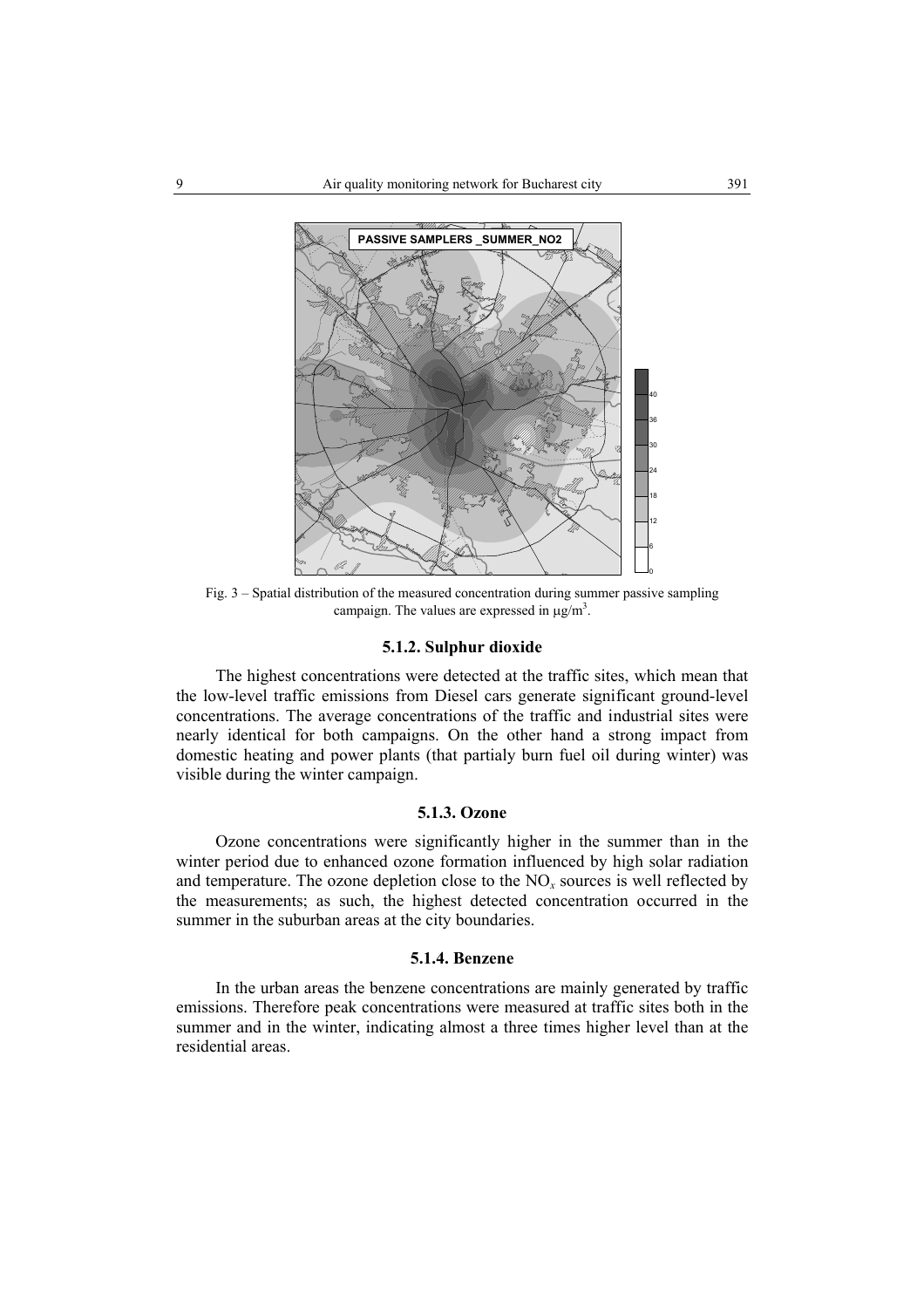

Fig. 3 – Spatial distribution of the measured concentration during summer passive sampling campaign. The values are expressed in  $\mu$ g/m<sup>3</sup>.

#### **5.1.2. Sulphur dioxide**

The highest concentrations were detected at the traffic sites, which mean that the low-level traffic emissions from Diesel cars generate significant ground-level concentrations. The average concentrations of the traffic and industrial sites were nearly identical for both campaigns. On the other hand a strong impact from domestic heating and power plants (that partialy burn fuel oil during winter) was visible during the winter campaign.

## **5.1.3. Ozone**

Ozone concentrations were significantly higher in the summer than in the winter period due to enhanced ozone formation influenced by high solar radiation and temperature. The ozone depletion close to the  $NO<sub>x</sub>$  sources is well reflected by the measurements; as such, the highest detected concentration occurred in the summer in the suburban areas at the city boundaries.

## **5.1.4. Benzene**

In the urban areas the benzene concentrations are mainly generated by traffic emissions. Therefore peak concentrations were measured at traffic sites both in the summer and in the winter, indicating almost a three times higher level than at the residential areas.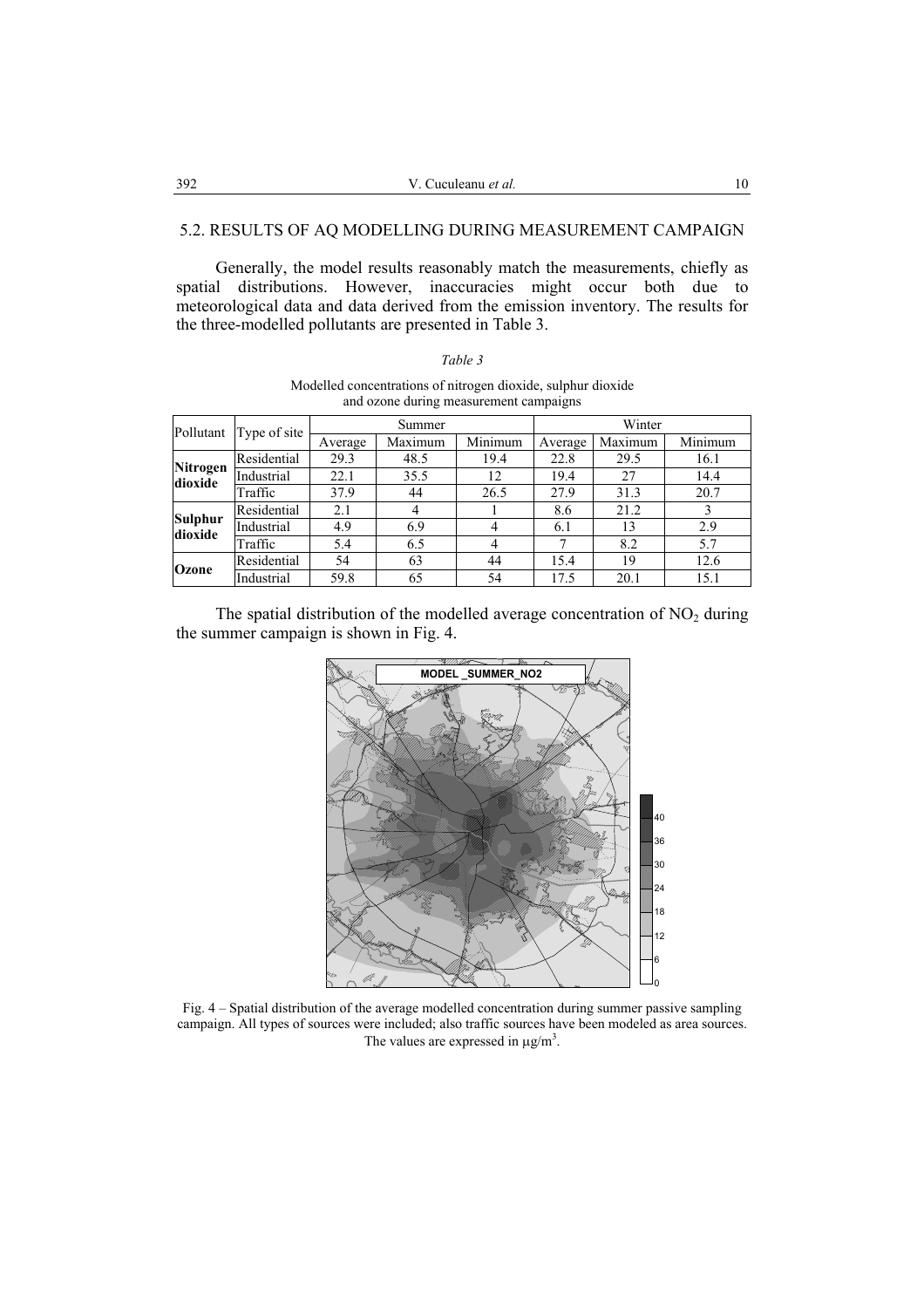### 5.2. RESULTS OF AQ MODELLING DURING MEASUREMENT CAMPAIGN

Generally, the model results reasonably match the measurements, chiefly as spatial distributions. However, inaccuracies might occur both due to meteorological data and data derived from the emission inventory. The results for the three-modelled pollutants are presented in Table 3.

| and ozone during measurement campaigns |              |         |         |         |         |         |         |  |
|----------------------------------------|--------------|---------|---------|---------|---------|---------|---------|--|
| Pollutant                              | Type of site | Summer  |         |         | Winter  |         |         |  |
|                                        |              | Average | Maximum | Minimum | Average | Maximum | Minimum |  |
| Nitrogen<br>dioxide                    | Residential  | 29.3    | 48.5    | 19.4    | 22.8    | 29.5    | 16.1    |  |
|                                        | Industrial   | 22.1    | 35.5    | 12      | 19.4    | 27      | 14.4    |  |
|                                        | Traffic      | 37.9    | 44      | 26.5    | 27.9    | 31.3    | 20.7    |  |
| <b>Sulphur</b><br>dioxide              | Residential  | 2.1     | 4       |         | 8.6     | 21.2    |         |  |
|                                        | Industrial   | 4.9     | 6.9     |         | 6.1     | 13      | 2.9     |  |
|                                        | Traffic      | 5.4     | 6.5     | 4       |         | 8.2     | 5.7     |  |
| Ozone                                  | Residential  | 54      | 63      | 44      | 15.4    | 19      | 12.6    |  |
|                                        | Industrial   | 59.8    | 65      | 54      | 17.5    | 20.1    | 15.1    |  |

Modelled concentrations of nitrogen dioxide, sulphur dioxide and ozone during measurement campaigns

*Table 3* 

The spatial distribution of the modelled average concentration of  $NO<sub>2</sub>$  during the summer campaign is shown in Fig. 4.



Fig. 4 – Spatial distribution of the average modelled concentration during summer passive sampling campaign. All types of sources were included; also traffic sources have been modeled as area sources. The values are expressed in  $\mu$ g/m<sup>3</sup>.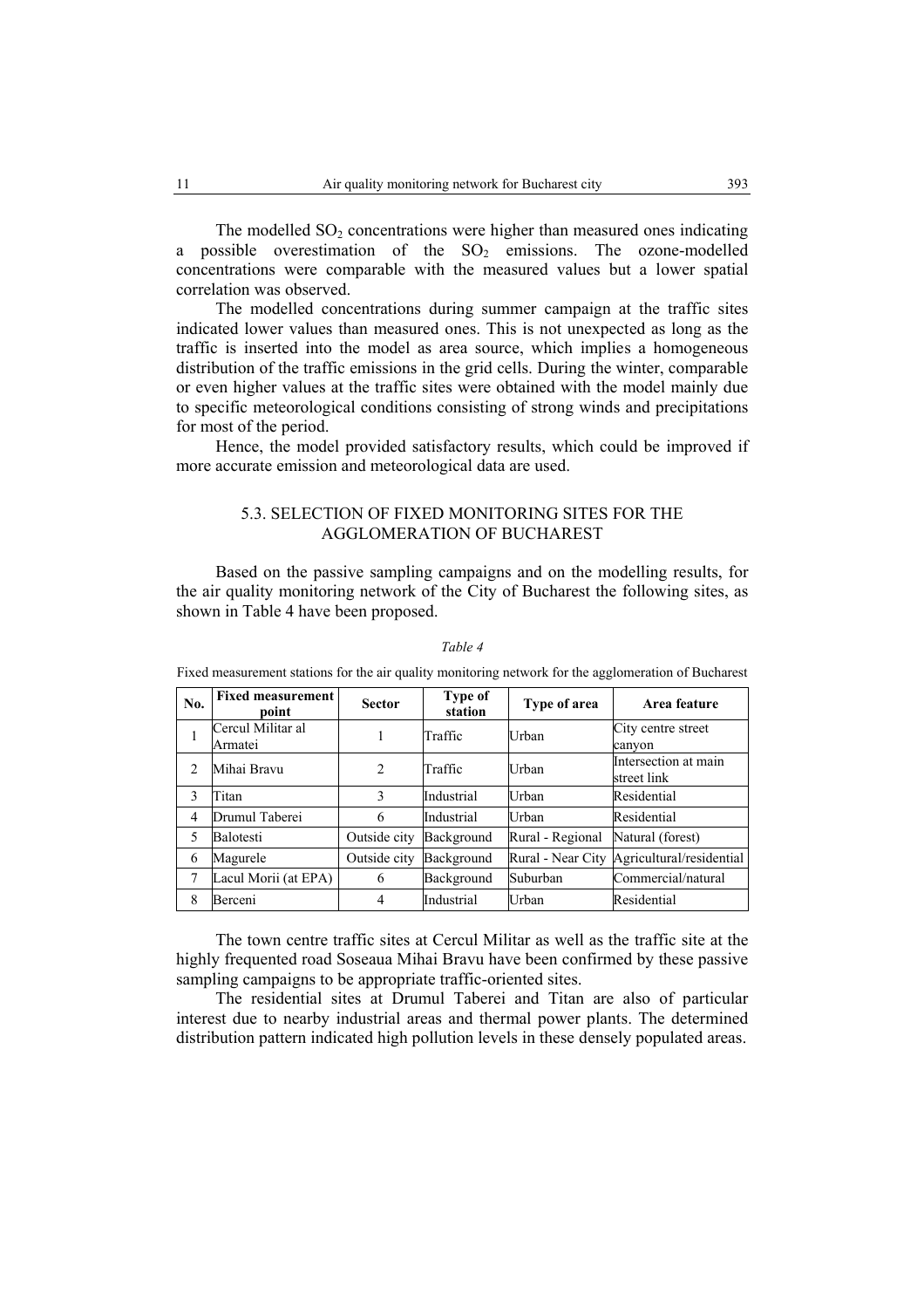The modelled  $SO<sub>2</sub>$  concentrations were higher than measured ones indicating a possible overestimation of the  $SO_2$  emissions. The ozone-modelled concentrations were comparable with the measured values but a lower spatial correlation was observed.

The modelled concentrations during summer campaign at the traffic sites indicated lower values than measured ones. This is not unexpected as long as the traffic is inserted into the model as area source, which implies a homogeneous distribution of the traffic emissions in the grid cells. During the winter, comparable or even higher values at the traffic sites were obtained with the model mainly due to specific meteorological conditions consisting of strong winds and precipitations for most of the period.

Hence, the model provided satisfactory results, which could be improved if more accurate emission and meteorological data are used.

## 5.3. SELECTION OF FIXED MONITORING SITES FOR THE AGGLOMERATION OF BUCHAREST

Based on the passive sampling campaigns and on the modelling results, for the air quality monitoring network of the City of Bucharest the following sites, as shown in Table 4 have been proposed.

| No.            | <b>Fixed measurement</b><br>point | <b>Sector</b>  | Type of<br>station | Type of area      | Area feature                        |
|----------------|-----------------------------------|----------------|--------------------|-------------------|-------------------------------------|
| 1              | Cercul Militar al<br>Armatei      |                | Traffic            | <b>Urban</b>      | City centre street<br>canyon        |
| $\mathcal{D}$  | Mihai Bravu                       | $\overline{c}$ | Traffic            | Urban             | Intersection at main<br>street link |
| 3              | Titan                             | 3              | Industrial         | <b>Urban</b>      | Residential                         |
| $\overline{4}$ | Drumul Taberei                    | 6              | Industrial         | <b>Urban</b>      | Residential                         |
| 5              | <b>Balotesti</b>                  | Outside city   | Background         | Rural - Regional  | Natural (forest)                    |
| 6              | Magurele                          | Outside city   | Background         | Rural - Near City | Agricultural/residential            |
| 7              | Lacul Morii (at EPA)              | 6              | Background         | Suburban          | Commercial/natural                  |
| 8              | Berceni                           | 4              | Industrial         | <b>Urban</b>      | Residential                         |

*Table 4* 

Fixed measurement stations for the air quality monitoring network for the agglomeration of Bucharest

The town centre traffic sites at Cercul Militar as well as the traffic site at the highly frequented road Soseaua Mihai Bravu have been confirmed by these passive sampling campaigns to be appropriate traffic-oriented sites.

The residential sites at Drumul Taberei and Titan are also of particular interest due to nearby industrial areas and thermal power plants. The determined distribution pattern indicated high pollution levels in these densely populated areas.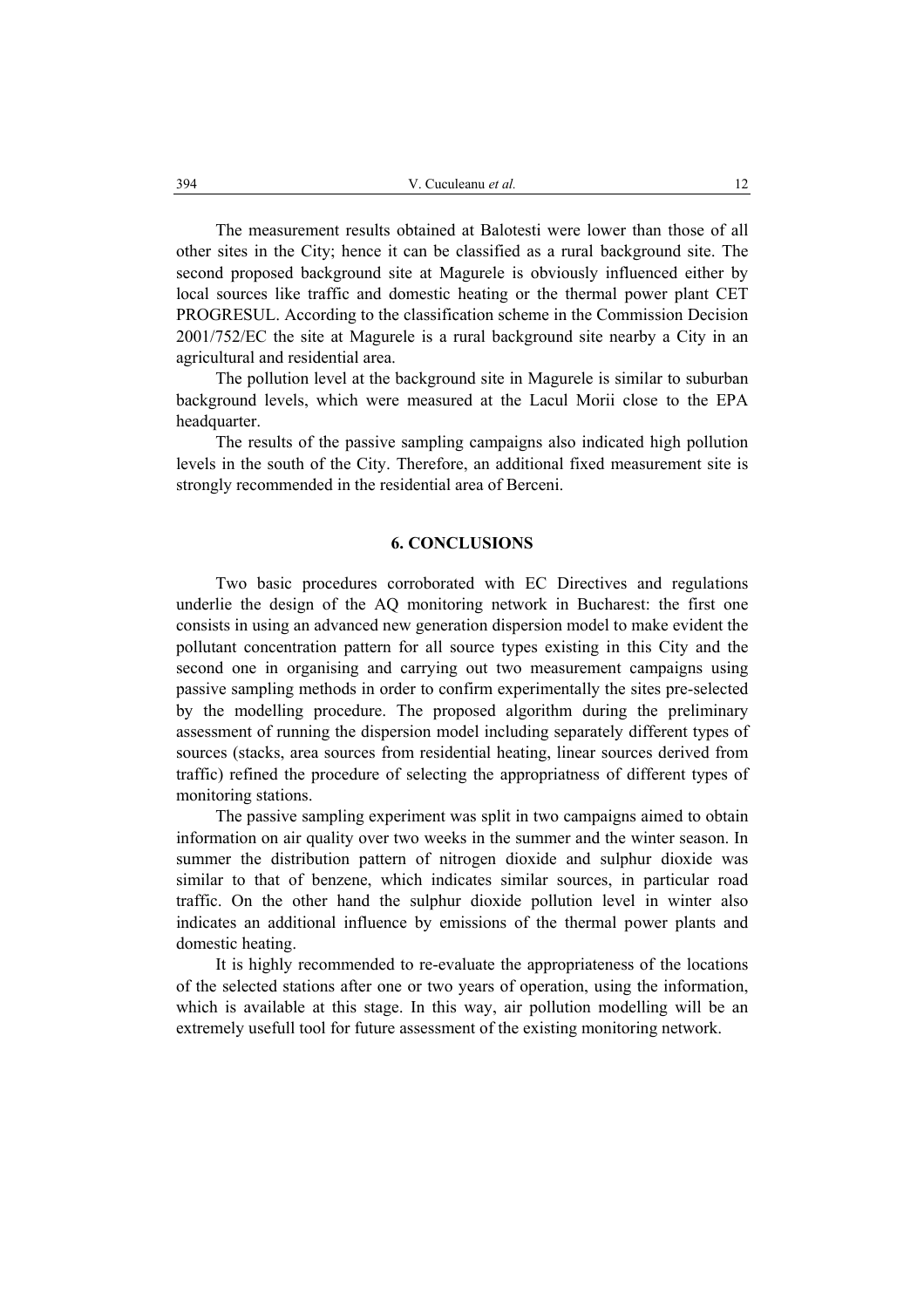The measurement results obtained at Balotesti were lower than those of all other sites in the City; hence it can be classified as a rural background site. The second proposed background site at Magurele is obviously influenced either by local sources like traffic and domestic heating or the thermal power plant CET PROGRESUL. According to the classification scheme in the Commission Decision 2001/752/EC the site at Magurele is a rural background site nearby a City in an agricultural and residential area.

The pollution level at the background site in Magurele is similar to suburban background levels, which were measured at the Lacul Morii close to the EPA headquarter.

The results of the passive sampling campaigns also indicated high pollution levels in the south of the City. Therefore, an additional fixed measurement site is strongly recommended in the residential area of Berceni.

## **6. CONCLUSIONS**

Two basic procedures corroborated with EC Directives and regulations underlie the design of the AQ monitoring network in Bucharest: the first one consists in using an advanced new generation dispersion model to make evident the pollutant concentration pattern for all source types existing in this City and the second one in organising and carrying out two measurement campaigns using passive sampling methods in order to confirm experimentally the sites pre-selected by the modelling procedure. The proposed algorithm during the preliminary assessment of running the dispersion model including separately different types of sources (stacks, area sources from residential heating, linear sources derived from traffic) refined the procedure of selecting the appropriatness of different types of monitoring stations.

The passive sampling experiment was split in two campaigns aimed to obtain information on air quality over two weeks in the summer and the winter season. In summer the distribution pattern of nitrogen dioxide and sulphur dioxide was similar to that of benzene, which indicates similar sources, in particular road traffic. On the other hand the sulphur dioxide pollution level in winter also indicates an additional influence by emissions of the thermal power plants and domestic heating.

It is highly recommended to re-evaluate the appropriateness of the locations of the selected stations after one or two years of operation, using the information, which is available at this stage. In this way, air pollution modelling will be an extremely usefull tool for future assessment of the existing monitoring network.